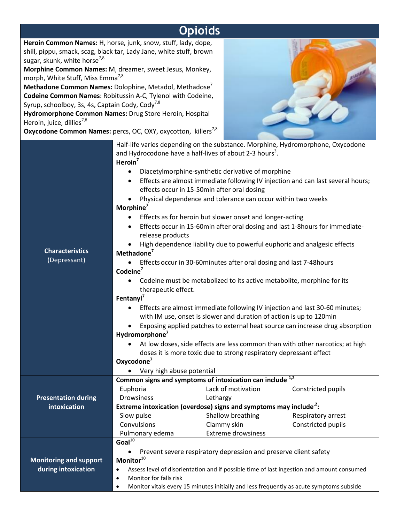## **Opioids**

**Heroin Common Names:** H, horse, junk, snow, stuff, lady, dope, shill, pippu, smack, scag, black tar, Lady Jane, white stuff, brown sugar, skunk, white horse<sup>7,8</sup>

**Morphine Common Names:** M, dreamer, sweet Jesus, Monkey, morph, White Stuff, Miss Emma $^{7,8}$ 

**Methadone Common Names:** Dolophine, Metadol, Methadose<sup>7</sup> **Codeine Common Names**: Robitussin A-C, Tylenol with Codeine, Syrup, schoolboy, 3s, 4s, Captain Cody, Cody $^{7,8}$ 

**Hydromorphone Common Names:** Drug Store Heroin, Hospital Heroin, juice, dillies<sup>7,8</sup>

**Oxycodone Common Names:** percs, OC, OXY, oxycotton, killers<sup>7,8</sup>



|                                        | Half-life varies depending on the substance. Morphine, Hydromorphone, Oxycodone                        |                                                                               |                                                                                 |  |
|----------------------------------------|--------------------------------------------------------------------------------------------------------|-------------------------------------------------------------------------------|---------------------------------------------------------------------------------|--|
|                                        | and Hydrocodone have a half-lives of about 2-3 hours <sup>3</sup> .                                    |                                                                               |                                                                                 |  |
|                                        | Heroin $7$                                                                                             |                                                                               |                                                                                 |  |
|                                        | Diacetylmorphine-synthetic derivative of morphine<br>$\bullet$                                         |                                                                               |                                                                                 |  |
|                                        | $\bullet$                                                                                              |                                                                               | Effects are almost immediate following IV injection and can last several hours; |  |
|                                        | effects occur in 15-50min after oral dosing                                                            |                                                                               |                                                                                 |  |
| <b>Characteristics</b><br>(Depressant) | Physical dependence and tolerance can occur within two weeks                                           |                                                                               |                                                                                 |  |
|                                        | Morphine <sup>7</sup>                                                                                  |                                                                               |                                                                                 |  |
|                                        | Effects as for heroin but slower onset and longer-acting<br>$\bullet$                                  |                                                                               |                                                                                 |  |
|                                        | Effects occur in 15-60min after oral dosing and last 1-8hours for immediate-                           |                                                                               |                                                                                 |  |
|                                        | release products                                                                                       |                                                                               |                                                                                 |  |
|                                        | High dependence liability due to powerful euphoric and analgesic effects                               |                                                                               |                                                                                 |  |
|                                        | Methadone <sup>7</sup>                                                                                 |                                                                               |                                                                                 |  |
|                                        | Effects occur in 30-60 minutes after oral dosing and last 7-48 hours                                   |                                                                               |                                                                                 |  |
|                                        | Codeine <sup>7</sup>                                                                                   |                                                                               |                                                                                 |  |
|                                        | Codeine must be metabolized to its active metabolite, morphine for its<br>$\bullet$                    |                                                                               |                                                                                 |  |
|                                        | therapeutic effect.                                                                                    |                                                                               |                                                                                 |  |
|                                        | Fentanyl <sup>7</sup>                                                                                  |                                                                               |                                                                                 |  |
|                                        | Effects are almost immediate following IV injection and last 30-60 minutes;                            |                                                                               |                                                                                 |  |
|                                        | with IM use, onset is slower and duration of action is up to 120min                                    |                                                                               |                                                                                 |  |
|                                        | Exposing applied patches to external heat source can increase drug absorption                          |                                                                               |                                                                                 |  |
|                                        | Hydromorphone <sup>7</sup>                                                                             |                                                                               |                                                                                 |  |
|                                        | At low doses, side effects are less common than with other narcotics; at high                          |                                                                               |                                                                                 |  |
|                                        | doses it is more toxic due to strong respiratory depressant effect                                     |                                                                               |                                                                                 |  |
|                                        | Oxycodone <sup>7</sup>                                                                                 |                                                                               |                                                                                 |  |
|                                        | Very high abuse potential                                                                              |                                                                               |                                                                                 |  |
|                                        | Common signs and symptoms of intoxication can include <sup>1,2</sup>                                   |                                                                               |                                                                                 |  |
|                                        | Euphoria                                                                                               | Lack of motivation                                                            | Constricted pupils                                                              |  |
| <b>Presentation during</b>             | <b>Drowsiness</b>                                                                                      | Lethargy                                                                      |                                                                                 |  |
| intoxication                           |                                                                                                        | Extreme intoxication (overdose) signs and symptoms may include <sup>2</sup> : |                                                                                 |  |
|                                        | Slow pulse                                                                                             | Shallow breathing                                                             | Respiratory arrest                                                              |  |
|                                        | Convulsions                                                                                            | Clammy skin                                                                   | Constricted pupils                                                              |  |
|                                        | Pulmonary edema                                                                                        | <b>Extreme drowsiness</b>                                                     |                                                                                 |  |
|                                        | Goal $\overline{10}$                                                                                   |                                                                               |                                                                                 |  |
|                                        | Prevent severe respiratory depression and preserve client safety                                       |                                                                               |                                                                                 |  |
| <b>Monitoring and support</b>          | Monitor $^{10}$                                                                                        |                                                                               |                                                                                 |  |
| during intoxication                    | Assess level of disorientation and if possible time of last ingestion and amount consumed<br>$\bullet$ |                                                                               |                                                                                 |  |
|                                        | Monitor for falls risk<br>$\bullet$                                                                    |                                                                               |                                                                                 |  |
|                                        | Monitor vitals every 15 minutes initially and less frequently as acute symptoms subside<br>٠           |                                                                               |                                                                                 |  |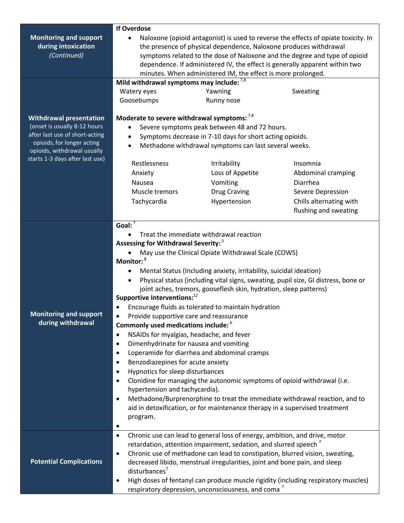|                                 | <b>If Overdose</b>                                                                                                                                                                                                                                                                                                                                                                   |                                                                            |                         |  |  |
|---------------------------------|--------------------------------------------------------------------------------------------------------------------------------------------------------------------------------------------------------------------------------------------------------------------------------------------------------------------------------------------------------------------------------------|----------------------------------------------------------------------------|-------------------------|--|--|
| <b>Monitoring and support</b>   | Naloxone (opioid antagonist) is used to reverse the effects of opiate toxicity. In<br>the presence of physical dependence, Naloxone produces withdrawal<br>symptoms related to the dose of Naloxone and the degree and type of opioid<br>dependence. If administered IV, the effect is generally apparent within two<br>minutes. When administered IM, the effect is more prolonged. |                                                                            |                         |  |  |
| during intoxication             |                                                                                                                                                                                                                                                                                                                                                                                      |                                                                            |                         |  |  |
| (Continued)                     |                                                                                                                                                                                                                                                                                                                                                                                      |                                                                            |                         |  |  |
|                                 |                                                                                                                                                                                                                                                                                                                                                                                      |                                                                            |                         |  |  |
|                                 |                                                                                                                                                                                                                                                                                                                                                                                      |                                                                            |                         |  |  |
|                                 | Mild withdrawal symptoms may include: $^{7,8}$                                                                                                                                                                                                                                                                                                                                       |                                                                            |                         |  |  |
|                                 | Watery eyes                                                                                                                                                                                                                                                                                                                                                                          | Yawning                                                                    | Sweating                |  |  |
|                                 | Goosebumps                                                                                                                                                                                                                                                                                                                                                                           | Runny nose                                                                 |                         |  |  |
|                                 |                                                                                                                                                                                                                                                                                                                                                                                      |                                                                            |                         |  |  |
| <b>Withdrawal presentation</b>  | Moderate to severe withdrawal symptoms: $^{7,8}$                                                                                                                                                                                                                                                                                                                                     |                                                                            |                         |  |  |
| (onset is usually 8-12 hours    | Severe symptoms peak between 48 and 72 hours.                                                                                                                                                                                                                                                                                                                                        |                                                                            |                         |  |  |
| after last use of short-acting  | Symptoms decrease in 7-10 days for short acting opioids.                                                                                                                                                                                                                                                                                                                             |                                                                            |                         |  |  |
| opioids, for longer acting      | Methadone withdrawal symptoms can last several weeks.<br>$\bullet$                                                                                                                                                                                                                                                                                                                   |                                                                            |                         |  |  |
| opioids, withdrawal usually     |                                                                                                                                                                                                                                                                                                                                                                                      |                                                                            |                         |  |  |
| starts 1-3 days after last use) | Restlessness                                                                                                                                                                                                                                                                                                                                                                         | Irritability                                                               | Insomnia                |  |  |
|                                 | Anxiety                                                                                                                                                                                                                                                                                                                                                                              | Loss of Appetite                                                           | Abdominal cramping      |  |  |
|                                 | Nausea                                                                                                                                                                                                                                                                                                                                                                               | Vomiting                                                                   | Diarrhea                |  |  |
|                                 | Muscle tremors                                                                                                                                                                                                                                                                                                                                                                       | <b>Drug Craving</b>                                                        | Severe Depression       |  |  |
|                                 | Tachycardia                                                                                                                                                                                                                                                                                                                                                                          | Hypertension                                                               | Chills alternating with |  |  |
|                                 |                                                                                                                                                                                                                                                                                                                                                                                      |                                                                            | flushing and sweating   |  |  |
|                                 |                                                                                                                                                                                                                                                                                                                                                                                      |                                                                            |                         |  |  |
|                                 | Goal: $7$                                                                                                                                                                                                                                                                                                                                                                            |                                                                            |                         |  |  |
|                                 | Treat the immediate withdrawal reaction                                                                                                                                                                                                                                                                                                                                              |                                                                            |                         |  |  |
|                                 | Assessing for Withdrawal Severity: <sup>5</sup>                                                                                                                                                                                                                                                                                                                                      |                                                                            |                         |  |  |
|                                 | May use the Clinical Opiate Withdrawal Scale (COWS)                                                                                                                                                                                                                                                                                                                                  |                                                                            |                         |  |  |
|                                 | Monitor: <sup>5</sup>                                                                                                                                                                                                                                                                                                                                                                |                                                                            |                         |  |  |
|                                 | Mental Status (Including anxiety, irritability, suicidal ideation)<br>$\bullet$                                                                                                                                                                                                                                                                                                      |                                                                            |                         |  |  |
|                                 | Physical status (including vital signs, sweating, pupil size, GI distress, bone or<br>$\bullet$                                                                                                                                                                                                                                                                                      |                                                                            |                         |  |  |
|                                 | joint aches, tremors, gooseflesh skin, hydration, sleep patterns)                                                                                                                                                                                                                                                                                                                    |                                                                            |                         |  |  |
|                                 | Supportive Interventions: <sup>12</sup>                                                                                                                                                                                                                                                                                                                                              |                                                                            |                         |  |  |
|                                 | Encourage fluids as tolerated to maintain hydration                                                                                                                                                                                                                                                                                                                                  |                                                                            |                         |  |  |
| <b>Monitoring and support</b>   | Provide supportive care and reassurance                                                                                                                                                                                                                                                                                                                                              |                                                                            |                         |  |  |
| during withdrawal               | Commonly used medications include: b                                                                                                                                                                                                                                                                                                                                                 |                                                                            |                         |  |  |
|                                 | NSAIDs for myalgias, headache, and fever<br>$\bullet$                                                                                                                                                                                                                                                                                                                                |                                                                            |                         |  |  |
|                                 | Dimenhydrinate for nausea and vomiting<br>$\bullet$                                                                                                                                                                                                                                                                                                                                  |                                                                            |                         |  |  |
|                                 | Loperamide for diarrhea and abdominal cramps<br>$\bullet$                                                                                                                                                                                                                                                                                                                            |                                                                            |                         |  |  |
|                                 | Benzodiazepines for acute anxiety<br>$\bullet$                                                                                                                                                                                                                                                                                                                                       |                                                                            |                         |  |  |
|                                 | Hypnotics for sleep disturbances<br>$\bullet$                                                                                                                                                                                                                                                                                                                                        |                                                                            |                         |  |  |
|                                 | Clonidine for managing the autonomic symptoms of opioid withdrawal (i.e.<br>$\bullet$                                                                                                                                                                                                                                                                                                |                                                                            |                         |  |  |
|                                 | hypertension and tachycardia).                                                                                                                                                                                                                                                                                                                                                       |                                                                            |                         |  |  |
|                                 | Methadone/Burprenorphine to treat the immediate withdrawal reaction, and to<br>$\bullet$                                                                                                                                                                                                                                                                                             |                                                                            |                         |  |  |
|                                 | aid in detoxification, or for maintenance therapy in a supervised treatment                                                                                                                                                                                                                                                                                                          |                                                                            |                         |  |  |
|                                 | program.                                                                                                                                                                                                                                                                                                                                                                             |                                                                            |                         |  |  |
|                                 |                                                                                                                                                                                                                                                                                                                                                                                      |                                                                            |                         |  |  |
|                                 | $\bullet$                                                                                                                                                                                                                                                                                                                                                                            | Chronic use can lead to general loss of energy, ambition, and drive, motor |                         |  |  |
|                                 | retardation, attention impairment, sedation, and slurred speech '                                                                                                                                                                                                                                                                                                                    |                                                                            |                         |  |  |
|                                 | Chronic use of methadone can lead to constipation, blurred vision, sweating,<br>$\bullet$                                                                                                                                                                                                                                                                                            |                                                                            |                         |  |  |
| <b>Potential Complications</b>  | decreased libido, menstrual irregularities, joint and bone pain, and sleep                                                                                                                                                                                                                                                                                                           |                                                                            |                         |  |  |
|                                 | disturbances $7$                                                                                                                                                                                                                                                                                                                                                                     |                                                                            |                         |  |  |
|                                 | High doses of fentanyl can produce muscle rigidity (including respiratory muscles)                                                                                                                                                                                                                                                                                                   |                                                                            |                         |  |  |
|                                 | respiratory depression, unconsciousness, and coma <sup>7</sup>                                                                                                                                                                                                                                                                                                                       |                                                                            |                         |  |  |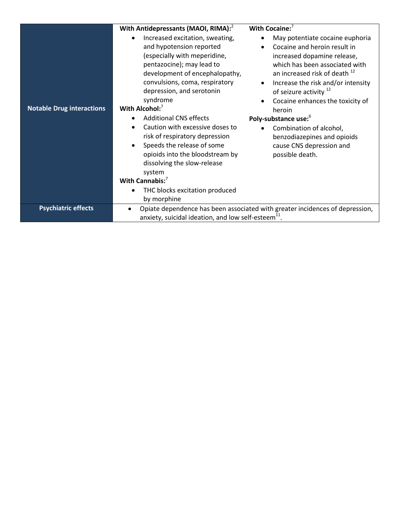|                                  | With Antidepressants (MAOI, RIMA): <sup>2</sup><br>Increased excitation, sweating,<br>$\bullet$                                           | With Cocaine:<br>May potentiate cocaine euphoria<br>$\bullet$                                                                                          |  |
|----------------------------------|-------------------------------------------------------------------------------------------------------------------------------------------|--------------------------------------------------------------------------------------------------------------------------------------------------------|--|
|                                  | and hypotension reported<br>(especially with meperidine,<br>pentazocine); may lead to<br>development of encephalopathy,                   | Cocaine and heroin result in<br>$\bullet$<br>increased dopamine release,<br>which has been associated with<br>an increased risk of death <sup>12</sup> |  |
|                                  | convulsions, coma, respiratory<br>depression, and serotonin                                                                               | Increase the risk and/or intensity<br>$\bullet$<br>of seizure activity <sup>12</sup>                                                                   |  |
| <b>Notable Drug interactions</b> | syndrome<br>With Alcohol: $7$                                                                                                             | Cocaine enhances the toxicity of<br>$\bullet$                                                                                                          |  |
|                                  |                                                                                                                                           | heroin                                                                                                                                                 |  |
|                                  | <b>Additional CNS effects</b><br>$\bullet$                                                                                                | Poly-substance use: <sup>6</sup>                                                                                                                       |  |
|                                  | Caution with excessive doses to<br>$\bullet$<br>risk of respiratory depression                                                            | Combination of alcohol,<br>$\bullet$<br>benzodiazepines and opioids                                                                                    |  |
|                                  | Speeds the release of some<br>$\bullet$<br>opioids into the bloodstream by                                                                | cause CNS depression and<br>possible death.                                                                                                            |  |
|                                  | dissolving the slow-release                                                                                                               |                                                                                                                                                        |  |
|                                  | system                                                                                                                                    |                                                                                                                                                        |  |
|                                  | With Cannabis: $7$                                                                                                                        |                                                                                                                                                        |  |
|                                  | THC blocks excitation produced<br>$\bullet$                                                                                               |                                                                                                                                                        |  |
|                                  | by morphine                                                                                                                               |                                                                                                                                                        |  |
| <b>Psychiatric effects</b>       | Opiate dependence has been associated with greater incidences of depression,<br>anxiety, suicidal ideation, and low self-esteem $^{11}$ . |                                                                                                                                                        |  |